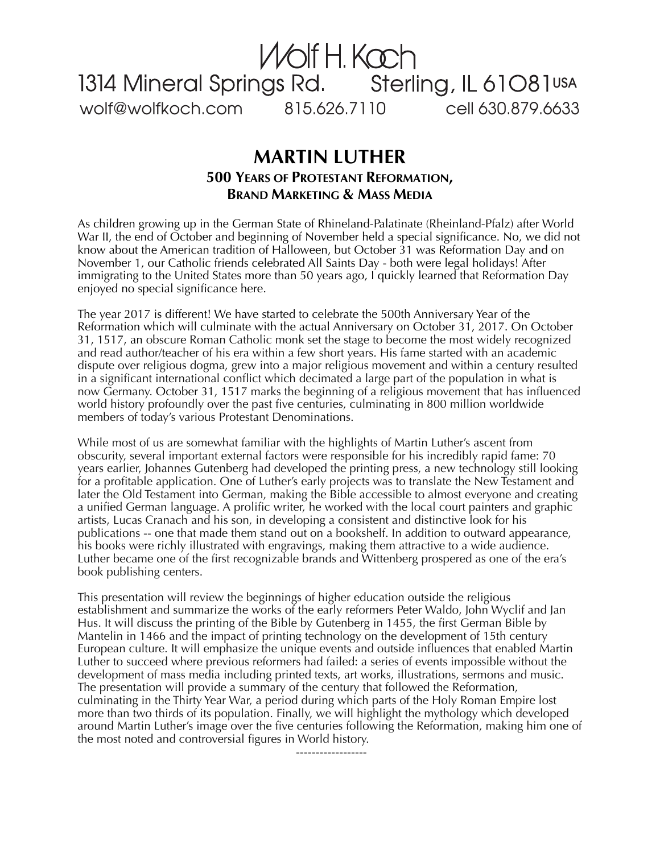## wolf@wolfkoch.com 815.626.7110 cell 630.879.6633 Wolf H. Kach<br>1314 Mineral Springs Rd. Sterling, IL 61081USA

## **MARTIN LUTHER 500 YEARS OF PROTESTANT REFORMATION, BRAND MARKETING & MASS MEDIA**

As children growing up in the German State of Rhineland-Palatinate (Rheinland-Pfalz) after World War II, the end of October and beginning of November held a special significance. No, we did not know about the American tradition of Halloween, but October 31 was Reformation Day and on November 1, our Catholic friends celebrated All Saints Day - both were legal holidays! After immigrating to the United States more than 50 years ago, I quickly learned that Reformation Day enjoyed no special significance here.

The year 2017 is different! We have started to celebrate the 500th Anniversary Year of the Reformation which will culminate with the actual Anniversary on October 31, 2017. On October 31, 1517, an obscure Roman Catholic monk set the stage to become the most widely recognized and read author/teacher of his era within a few short years. His fame started with an academic dispute over religious dogma, grew into a major religious movement and within a century resulted in a significant international conflict which decimated a large part of the population in what is now Germany. October 31, 1517 marks the beginning of a religious movement that has influenced world history profoundly over the past five centuries, culminating in 800 million worldwide members of today's various Protestant Denominations.

While most of us are somewhat familiar with the highlights of Martin Luther's ascent from obscurity, several important external factors were responsible for his incredibly rapid fame: 70 years earlier, Johannes Gutenberg had developed the printing press, a new technology still looking for a profitable application. One of Luther's early projects was to translate the New Testament and later the Old Testament into German, making the Bible accessible to almost everyone and creating a unified German language. A prolific writer, he worked with the local court painters and graphic artists, Lucas Cranach and his son, in developing a consistent and distinctive look for his publications -- one that made them stand out on a bookshelf. In addition to outward appearance, his books were richly illustrated with engravings, making them attractive to a wide audience. Luther became one of the first recognizable brands and Wittenberg prospered as one of the era's book publishing centers.

This presentation will review the beginnings of higher education outside the religious establishment and summarize the works of the early reformers Peter Waldo, John Wyclif and Jan Hus. It will discuss the printing of the Bible by Gutenberg in 1455, the first German Bible by Mantelin in 1466 and the impact of printing technology on the development of 15th century European culture. It will emphasize the unique events and outside influences that enabled Martin Luther to succeed where previous reformers had failed: a series of events impossible without the development of mass media including printed texts, art works, illustrations, sermons and music. The presentation will provide a summary of the century that followed the Reformation, culminating in the Thirty Year War, a period during which parts of the Holy Roman Empire lost more than two thirds of its population. Finally, we will highlight the mythology which developed around Martin Luther's image over the five centuries following the Reformation, making him one of the most noted and controversial figures in World history.

------------------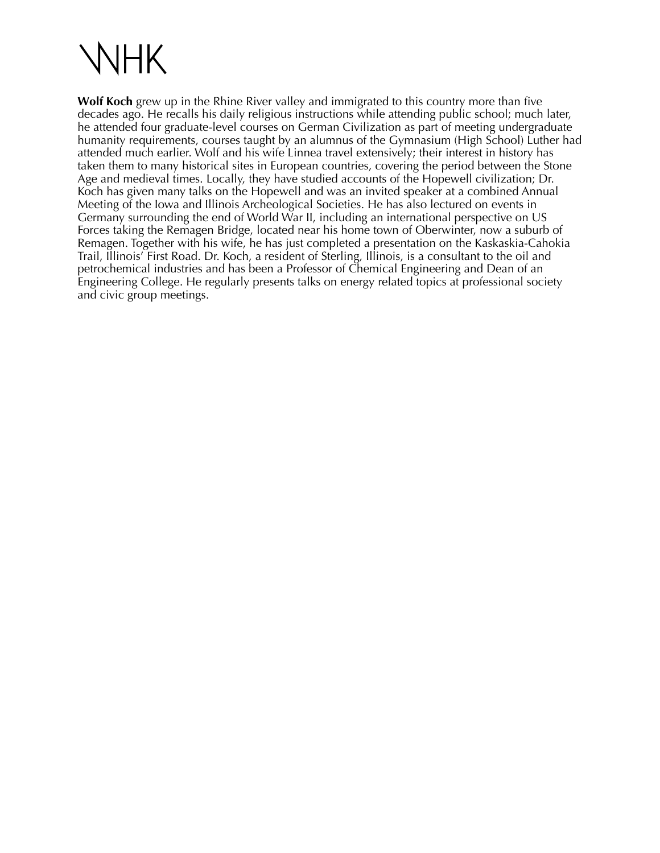

**Wolf Koch** grew up in the Rhine River valley and immigrated to this country more than five decades ago. He recalls his daily religious instructions while attending public school; much later, he attended four graduate-level courses on German Civilization as part of meeting undergraduate humanity requirements, courses taught by an alumnus of the Gymnasium (High School) Luther had attended much earlier. Wolf and his wife Linnea travel extensively; their interest in history has taken them to many historical sites in European countries, covering the period between the Stone Age and medieval times. Locally, they have studied accounts of the Hopewell civilization; Dr. Koch has given many talks on the Hopewell and was an invited speaker at a combined Annual Meeting of the Iowa and Illinois Archeological Societies. He has also lectured on events in Germany surrounding the end of World War II, including an international perspective on US Forces taking the Remagen Bridge, located near his home town of Oberwinter, now a suburb of Remagen. Together with his wife, he has just completed a presentation on the Kaskaskia-Cahokia Trail, Illinois' First Road. Dr. Koch, a resident of Sterling, Illinois, is a consultant to the oil and petrochemical industries and has been a Professor of Chemical Engineering and Dean of an Engineering College. He regularly presents talks on energy related topics at professional society and civic group meetings.